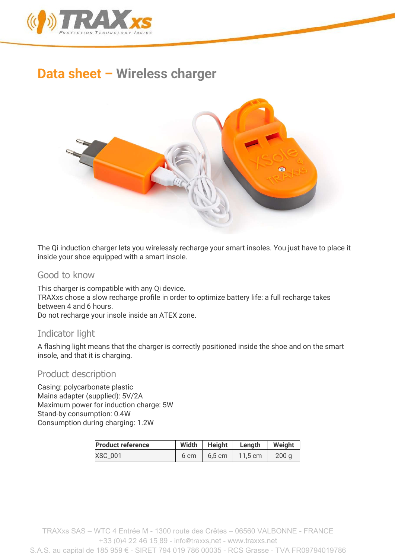

# Data sheet – Wireless charger



The Qi induction charger lets you wirelessly recharge your smart insoles. You just have to place it inside your shoe equipped with a smart insole.

#### Good to know

This charger is compatible with any Qi device. TRAXxs chose a slow recharge profile in order to optimize battery life: a full recharge takes between 4 and 6 hours.

Do not recharge your insole inside an ATEX zone.

## Indicator light

A flashing light means that the charger is correctly positioned inside the shoe and on the smart insole, and that it is charging.

#### Product description

Casing: polycarbonate plastic Mains adapter (supplied): 5V/2A Maximum power for induction charge: 5W Stand-by consumption: 0.4W Consumption during charging: 1.2W

| <b>Product reference</b> | Width | Height           | Lenath            | Weight           |
|--------------------------|-------|------------------|-------------------|------------------|
| XSC_001                  | 6 cm  | $6.5 \text{ cm}$ | $11.5 \text{ cm}$ | 200 <sub>a</sub> |

TRAXxs SAS – WTC 4 Entrée M - 1300 route des Crêtes – 06560 VALBONNE - FRANCE +33 (0)4 22 46 15 89 - info@traxxs.net - www.traxxs.net S.A.S. au capital de 185 959 € - SIRET 794 019 786 00035 - RCS Grasse - TVA FR09794019786